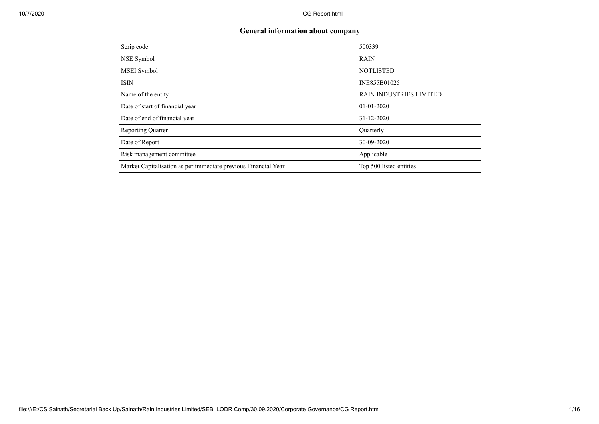| <b>General information about company</b>                       |                                |  |  |  |  |  |  |  |
|----------------------------------------------------------------|--------------------------------|--|--|--|--|--|--|--|
| Scrip code                                                     | 500339                         |  |  |  |  |  |  |  |
| NSE Symbol                                                     | <b>RAIN</b>                    |  |  |  |  |  |  |  |
| <b>MSEI</b> Symbol                                             | <b>NOTLISTED</b>               |  |  |  |  |  |  |  |
| <b>ISIN</b>                                                    | INE855B01025                   |  |  |  |  |  |  |  |
| Name of the entity                                             | <b>RAIN INDUSTRIES LIMITED</b> |  |  |  |  |  |  |  |
| Date of start of financial year                                | $01 - 01 - 2020$               |  |  |  |  |  |  |  |
| Date of end of financial year                                  | 31-12-2020                     |  |  |  |  |  |  |  |
| <b>Reporting Quarter</b>                                       | Quarterly                      |  |  |  |  |  |  |  |
| Date of Report                                                 | 30-09-2020                     |  |  |  |  |  |  |  |
| Risk management committee                                      | Applicable                     |  |  |  |  |  |  |  |
| Market Capitalisation as per immediate previous Financial Year | Top 500 listed entities        |  |  |  |  |  |  |  |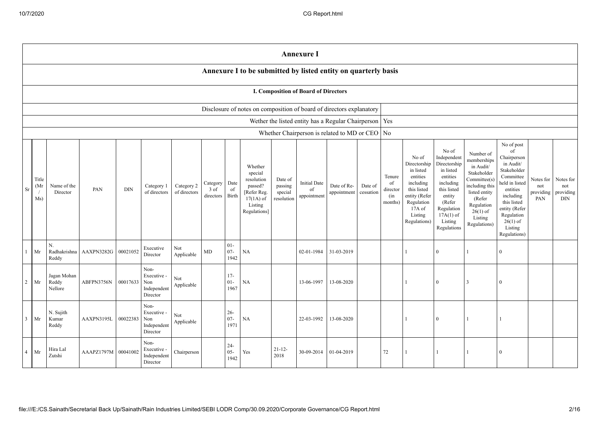|                                                                                                                                                                                                                                                                                                                                                                                                                                                         | <b>Annexure I</b>                                                    |                                 |            |          |                                                       |                   |    |                                            |                                                                                                                                                |                                                                                                                                                                      |                                                                                                                                                                          |                                                                                                                                                                                                            |                                      |                                             |   |          |   |                |  |  |
|---------------------------------------------------------------------------------------------------------------------------------------------------------------------------------------------------------------------------------------------------------------------------------------------------------------------------------------------------------------------------------------------------------------------------------------------------------|----------------------------------------------------------------------|---------------------------------|------------|----------|-------------------------------------------------------|-------------------|----|--------------------------------------------|------------------------------------------------------------------------------------------------------------------------------------------------|----------------------------------------------------------------------------------------------------------------------------------------------------------------------|--------------------------------------------------------------------------------------------------------------------------------------------------------------------------|------------------------------------------------------------------------------------------------------------------------------------------------------------------------------------------------------------|--------------------------------------|---------------------------------------------|---|----------|---|----------------|--|--|
|                                                                                                                                                                                                                                                                                                                                                                                                                                                         | Annexure I to be submitted by listed entity on quarterly basis       |                                 |            |          |                                                       |                   |    |                                            |                                                                                                                                                |                                                                                                                                                                      |                                                                                                                                                                          |                                                                                                                                                                                                            |                                      |                                             |   |          |   |                |  |  |
|                                                                                                                                                                                                                                                                                                                                                                                                                                                         | <b>I. Composition of Board of Directors</b>                          |                                 |            |          |                                                       |                   |    |                                            |                                                                                                                                                |                                                                                                                                                                      |                                                                                                                                                                          |                                                                                                                                                                                                            |                                      |                                             |   |          |   |                |  |  |
|                                                                                                                                                                                                                                                                                                                                                                                                                                                         | Disclosure of notes on composition of board of directors explanatory |                                 |            |          |                                                       |                   |    |                                            |                                                                                                                                                |                                                                                                                                                                      |                                                                                                                                                                          |                                                                                                                                                                                                            |                                      |                                             |   |          |   |                |  |  |
|                                                                                                                                                                                                                                                                                                                                                                                                                                                         | Wether the listed entity has a Regular Chairperson   Yes             |                                 |            |          |                                                       |                   |    |                                            |                                                                                                                                                |                                                                                                                                                                      |                                                                                                                                                                          |                                                                                                                                                                                                            |                                      |                                             |   |          |   |                |  |  |
|                                                                                                                                                                                                                                                                                                                                                                                                                                                         |                                                                      |                                 |            |          |                                                       |                   |    |                                            |                                                                                                                                                |                                                                                                                                                                      |                                                                                                                                                                          | Whether Chairperson is related to MD or CEO   No                                                                                                                                                           |                                      |                                             |   |          |   |                |  |  |
| Whether<br>special<br>Title<br>resolution<br>Date of<br><b>Initial Date</b><br>Category<br>Date<br>(Mr)<br>Date of Re-<br>Name of the<br>Category 2<br>passed?<br>passing<br>Date of<br>Category 1<br>PAN<br><b>DIN</b><br>of<br>Sr<br>3 of<br>of<br>of directors<br>of directors<br>[Refer Reg.<br>appointment<br>cessation<br>Director<br>special<br>Birth<br>appointment<br>directors<br>Ms)<br>$17(1A)$ of<br>resolution<br>Listing<br>Regulations] |                                                                      |                                 |            |          |                                                       |                   |    | Tenure<br>of<br>director<br>(in<br>months) | No of<br>Directorship<br>in listed<br>entities<br>including<br>this listed<br>entity (Refer<br>Regulation<br>17A of<br>Listing<br>Regulations) | No of<br>Independent<br>Directorship<br>in listed<br>entities<br>including<br>this listed<br>entity<br>(Refer<br>Regulation<br>$17A(1)$ of<br>Listing<br>Regulations | Number of<br>memberships<br>in Audit/<br>Stakeholder<br>Committee(s)<br>including this<br>listed entity<br>(Refer<br>Regulation<br>$26(1)$ of<br>Listing<br>Regulations) | No of post<br>of<br>Chairperson<br>in Audit/<br>Stakeholder<br>Committee<br>held in listed<br>entities<br>including<br>this listed<br>entity (Refer<br>Regulation<br>$26(1)$ of<br>Listing<br>Regulations) | Notes for<br>not<br>providing<br>PAN | Notes for<br>not<br>providing<br><b>DIN</b> |   |          |   |                |  |  |
|                                                                                                                                                                                                                                                                                                                                                                                                                                                         | Mr                                                                   | N.<br>Radhakrishna<br>Reddy     | AAXPN3282G | 00021052 | Executive<br>Director                                 | Not<br>Applicable | MD | $01 -$<br>$07 -$<br>1942                   | <b>NA</b>                                                                                                                                      |                                                                                                                                                                      | 02-01-1984                                                                                                                                                               | 31-03-2019                                                                                                                                                                                                 |                                      |                                             |   | $\Omega$ | 1 | $\theta$       |  |  |
| 2                                                                                                                                                                                                                                                                                                                                                                                                                                                       | Mr                                                                   | Jagan Mohan<br>Reddy<br>Nellore | ABFPN3756N | 00017633 | Non-<br>Executive -<br>Non<br>Independent<br>Director | Not<br>Applicable |    | $17-$<br>$01 -$<br>1967                    | NA                                                                                                                                             |                                                                                                                                                                      | 13-06-1997                                                                                                                                                               | 13-08-2020                                                                                                                                                                                                 |                                      |                                             |   | $\Omega$ | 3 | $\Omega$       |  |  |
| 3 <sup>1</sup>                                                                                                                                                                                                                                                                                                                                                                                                                                          | Mr                                                                   | N. Sujith<br>Kumar<br>Reddy     | AAXPN3195L | 00022383 | Non-<br>Executive -<br>Non<br>Independent<br>Director | Not<br>Applicable |    | $26 -$<br>$07 -$<br>1971                   | <b>NA</b>                                                                                                                                      |                                                                                                                                                                      | 22-03-1992                                                                                                                                                               | 13-08-2020                                                                                                                                                                                                 |                                      |                                             | 1 | $\Omega$ | 1 | $\overline{1}$ |  |  |
|                                                                                                                                                                                                                                                                                                                                                                                                                                                         | $4$ Mr                                                               | Hira Lal<br>Zutshi              | AAAPZ1797M | 00041002 | Non-<br>Executive -<br>Independent<br>Director        | Chairperson       |    | $24 -$<br>$05 -$<br>1942                   | Yes                                                                                                                                            | $21 - 12$<br>2018                                                                                                                                                    | 30-09-2014                                                                                                                                                               | 01-04-2019                                                                                                                                                                                                 |                                      | 72                                          |   |          |   | $\Omega$       |  |  |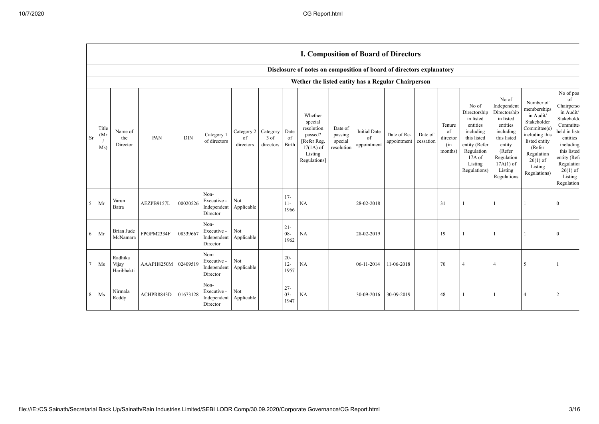| Disclosure of notes on composition of board of directors explanatory |  |  |  |
|----------------------------------------------------------------------|--|--|--|
|                                                                      |  |  |  |

|    |                                   |                                |            |            |                                                |                               |                                 |                          | Wether the listed entity has a Regular Chairperson                                                   |                                             |                                          |                            |                      |                                            |                                                                                                                                                |                                                                                                                                                                      |                                                                                                                                                                          |                                                                                                                                                                                                   |
|----|-----------------------------------|--------------------------------|------------|------------|------------------------------------------------|-------------------------------|---------------------------------|--------------------------|------------------------------------------------------------------------------------------------------|---------------------------------------------|------------------------------------------|----------------------------|----------------------|--------------------------------------------|------------------------------------------------------------------------------------------------------------------------------------------------|----------------------------------------------------------------------------------------------------------------------------------------------------------------------|--------------------------------------------------------------------------------------------------------------------------------------------------------------------------|---------------------------------------------------------------------------------------------------------------------------------------------------------------------------------------------------|
| Sr | Title<br>(Mr<br>$\sqrt{ }$<br>Ms) | Name of<br>the<br>Director     | PAN        | <b>DIN</b> | Category 1<br>of directors                     | Category 2<br>of<br>directors | Category<br>$3$ of<br>directors | Date<br>of<br>Birth      | Whether<br>special<br>resolution<br>passed?<br>[Refer Reg.<br>$17(1A)$ of<br>Listing<br>Regulations] | Date of<br>passing<br>special<br>resolution | <b>Initial Date</b><br>of<br>appointment | Date of Re-<br>appointment | Date of<br>cessation | Tenure<br>of<br>director<br>(in<br>months) | No of<br>Directorship<br>in listed<br>entities<br>including<br>this listed<br>entity (Refer<br>Regulation<br>17A of<br>Listing<br>Regulations) | No of<br>Independent<br>Directorship<br>in listed<br>entities<br>including<br>this listed<br>entity<br>(Refer<br>Regulation<br>$17A(1)$ of<br>Listing<br>Regulations | Number of<br>memberships<br>in Audit/<br>Stakeholder<br>Committee(s)<br>including this<br>listed entity<br>(Refer<br>Regulation<br>$26(1)$ of<br>Listing<br>Regulations) | No of pos<br>of<br>Chairperso<br>in Audit/<br>Stakeholde<br>Committe<br>held in liste<br>entities<br>including<br>this listed<br>entity (Ref<br>Regulation<br>$26(1)$ of<br>Listing<br>Regulation |
| 5  | Mr                                | Varun<br>Batra                 | AEZPB9157L | 00020526   | Non-<br>Executive -<br>Independent<br>Director | Not<br>Applicable             |                                 | $17-$<br>$11 -$<br>1966  | NA                                                                                                   |                                             | 28-02-2018                               |                            |                      | 31                                         |                                                                                                                                                |                                                                                                                                                                      |                                                                                                                                                                          | $\theta$                                                                                                                                                                                          |
| 6  | Mr                                | Brian Jude<br>McNamara         | FPGPM2334F | 08339667   | Non-<br>Executive -<br>Independent<br>Director | Not<br>Applicable             |                                 | $21 -$<br>$08 -$<br>1962 | NA                                                                                                   |                                             | 28-02-2019                               |                            |                      | 19                                         |                                                                                                                                                |                                                                                                                                                                      |                                                                                                                                                                          | $\theta$                                                                                                                                                                                          |
|    | $7$ Ms                            | Radhika<br>Vijay<br>Haribhakti | AAAPH8250M | 02409519   | Non-<br>Executive -<br>Independent<br>Director | Not<br>Applicable             |                                 | $20 -$<br>$12 -$<br>1957 | NA                                                                                                   |                                             | 06-11-2014                               | 11-06-2018                 |                      | 70                                         |                                                                                                                                                | $\overline{4}$                                                                                                                                                       | 5                                                                                                                                                                        |                                                                                                                                                                                                   |
| 8  | Ms                                | Nirmala<br>Reddy               | ACHPR8843D | 01673128   | Non-<br>Executive -<br>Independent<br>Director | Not<br>Applicable             |                                 | $27 -$<br>$03 -$<br>1947 | NA                                                                                                   |                                             | 30-09-2016                               | 30-09-2019                 |                      | 48                                         |                                                                                                                                                |                                                                                                                                                                      | 4                                                                                                                                                                        |                                                                                                                                                                                                   |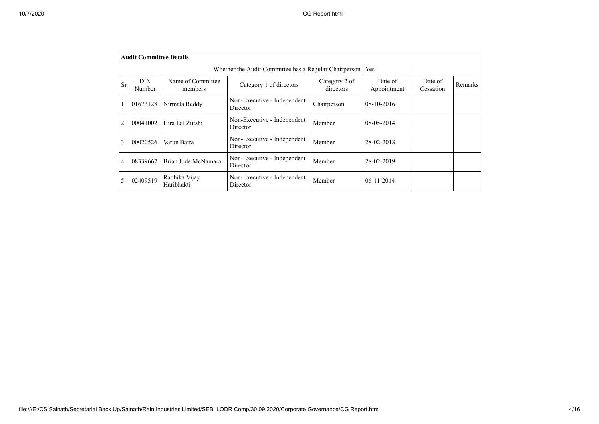|                | <b>Audit Committee Details</b>                                                                     |                              |                                         |                      |            |  |  |  |  |  |  |  |
|----------------|----------------------------------------------------------------------------------------------------|------------------------------|-----------------------------------------|----------------------|------------|--|--|--|--|--|--|--|
|                | Whether the Audit Committee has a Regular Chairperson<br>Yes                                       |                              |                                         |                      |            |  |  |  |  |  |  |  |
| Sr             | DIN.<br>Number                                                                                     | Name of Committee<br>members | Date of<br>Appointment                  | Date of<br>Cessation | Remarks    |  |  |  |  |  |  |  |
|                | 01673128                                                                                           |                              |                                         |                      |            |  |  |  |  |  |  |  |
| $\overline{2}$ | 00041002                                                                                           | Hira Lal Zutshi              | Non-Executive - Independent<br>Director | Member               | 08-05-2014 |  |  |  |  |  |  |  |
| 3              | 00020526                                                                                           | Varun Batra                  | Non-Executive - Independent<br>Director | Member               | 28-02-2018 |  |  |  |  |  |  |  |
| 4              | Non-Executive - Independent<br>Brian Jude McNamara<br>08339667<br>Member<br>28-02-2019<br>Director |                              |                                         |                      |            |  |  |  |  |  |  |  |
| 5              | 02409519                                                                                           | Radhika Vijay<br>Haribhakti  | Non-Executive - Independent<br>Director | Member               | 06-11-2014 |  |  |  |  |  |  |  |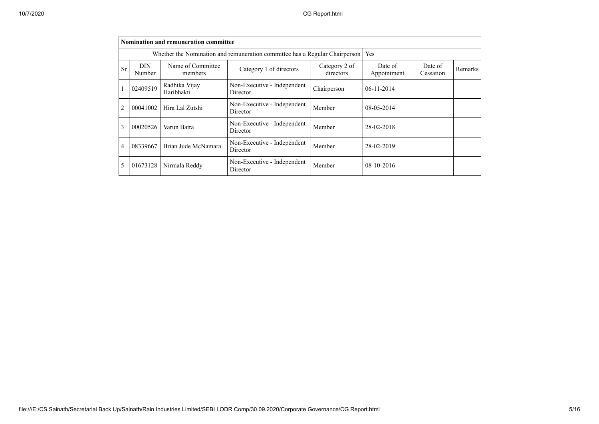|                | Nomination and remuneration committee                                                              |                      |                                         |        |            |  |  |  |  |  |  |  |
|----------------|----------------------------------------------------------------------------------------------------|----------------------|-----------------------------------------|--------|------------|--|--|--|--|--|--|--|
|                | <b>Yes</b><br>Whether the Nomination and remuneration committee has a Regular Chairperson          |                      |                                         |        |            |  |  |  |  |  |  |  |
| <b>Sr</b>      | <b>DIN</b><br>Number                                                                               | Date of<br>Cessation | Remarks                                 |        |            |  |  |  |  |  |  |  |
|                | 02409519                                                                                           |                      |                                         |        |            |  |  |  |  |  |  |  |
| 2              | 00041002                                                                                           | Hira Lal Zutshi      | Non-Executive - Independent<br>Director | Member | 08-05-2014 |  |  |  |  |  |  |  |
| 3              | 00020526                                                                                           | Varun Batra          | Non-Executive - Independent<br>Director | Member | 28-02-2018 |  |  |  |  |  |  |  |
| $\overline{4}$ | Non-Executive - Independent<br>Brian Jude McNamara<br>08339667<br>Member<br>28-02-2019<br>Director |                      |                                         |        |            |  |  |  |  |  |  |  |
| 5              | Non-Executive - Independent<br>01673128<br>Member<br>$08-10-2016$<br>Nirmala Reddy<br>Director     |                      |                                         |        |            |  |  |  |  |  |  |  |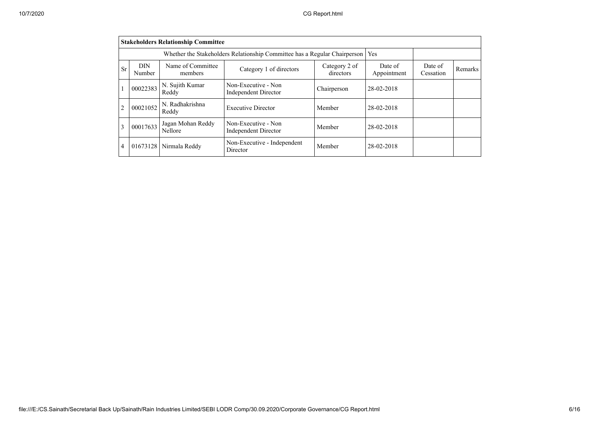|                             | <b>Stakeholders Relationship Committee</b>                                                                                                                      |                          |                                                    |             |            |  |  |  |  |  |  |  |
|-----------------------------|-----------------------------------------------------------------------------------------------------------------------------------------------------------------|--------------------------|----------------------------------------------------|-------------|------------|--|--|--|--|--|--|--|
|                             | Whether the Stakeholders Relationship Committee has a Regular Chairperson<br>Yes                                                                                |                          |                                                    |             |            |  |  |  |  |  |  |  |
| <b>Sr</b>                   | Name of Committee<br><b>DIN</b><br>Category 2 of<br>Date of<br>Date of<br>Category 1 of directors<br>directors<br>Appointment<br>Cessation<br>Number<br>members |                          |                                                    |             |            |  |  |  |  |  |  |  |
|                             | 00022383                                                                                                                                                        | N. Sujith Kumar<br>Reddy | Non-Executive - Non<br><b>Independent Director</b> | Chairperson | 28-02-2018 |  |  |  |  |  |  |  |
| $\mathcal{D}_{\mathcal{L}}$ | 00021052                                                                                                                                                        | N. Radhakrishna<br>Reddy | <b>Executive Director</b>                          | Member      | 28-02-2018 |  |  |  |  |  |  |  |
| 3                           | Jagan Mohan Reddy<br>Non-Executive - Non<br>00017633<br>Member<br>28-02-2018<br>Nellore<br><b>Independent Director</b>                                          |                          |                                                    |             |            |  |  |  |  |  |  |  |
| $\overline{4}$              | 01673128                                                                                                                                                        | Nirmala Reddy            | Non-Executive - Independent<br>Director            | Member      | 28-02-2018 |  |  |  |  |  |  |  |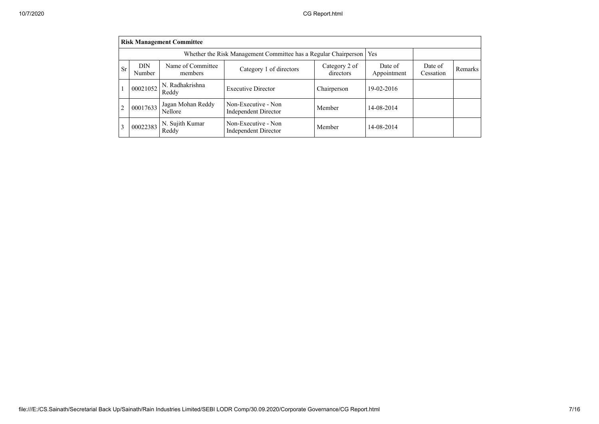|    | <b>Risk Management Committee</b>                                                                                                                                    |                                     |                                                    |             |            |  |  |  |  |  |  |
|----|---------------------------------------------------------------------------------------------------------------------------------------------------------------------|-------------------------------------|----------------------------------------------------|-------------|------------|--|--|--|--|--|--|
|    | Whether the Risk Management Committee has a Regular Chairperson<br>Yes                                                                                              |                                     |                                                    |             |            |  |  |  |  |  |  |
| Sr | Name of Committee<br>DIN<br>Category 2 of<br>Date of<br>Date of<br>Category 1 of directors<br>Remarks<br>directors<br>Appointment<br>Number<br>Cessation<br>members |                                     |                                                    |             |            |  |  |  |  |  |  |
|    | 00021052                                                                                                                                                            | N. Radhakrishna<br>Reddy            | <b>Executive Director</b>                          | Chairperson | 19-02-2016 |  |  |  |  |  |  |
| 2  | 00017633                                                                                                                                                            | Jagan Mohan Reddy<br><b>Nellore</b> | Non-Executive - Non<br><b>Independent Director</b> | Member      | 14-08-2014 |  |  |  |  |  |  |
| 3  | 00022383                                                                                                                                                            | N. Sujith Kumar<br>Reddy            | Non-Executive - Non<br><b>Independent Director</b> | Member      | 14-08-2014 |  |  |  |  |  |  |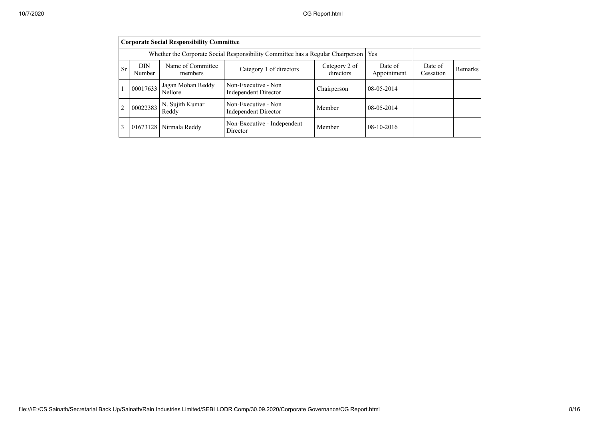|                | <b>Corporate Social Responsibility Committee</b>                                                                                                                           |                                     |                                                    |             |              |  |  |  |  |  |  |
|----------------|----------------------------------------------------------------------------------------------------------------------------------------------------------------------------|-------------------------------------|----------------------------------------------------|-------------|--------------|--|--|--|--|--|--|
|                | Whether the Corporate Social Responsibility Committee has a Regular Chairperson                                                                                            |                                     |                                                    |             |              |  |  |  |  |  |  |
| <b>Sr</b>      | Name of Committee<br><b>DIN</b><br>Category 2 of<br>Date of<br>Date of<br>Category 1 of directors<br>Remarks<br>Appointment<br>directors<br>Cessation<br>Number<br>members |                                     |                                                    |             |              |  |  |  |  |  |  |
| 1              | 00017633                                                                                                                                                                   | Jagan Mohan Reddy<br><b>Nellore</b> | Non-Executive - Non<br><b>Independent Director</b> | Chairperson | $08-05-2014$ |  |  |  |  |  |  |
| $\overline{2}$ | Non-Executive - Non<br>N. Sujith Kumar<br>00022383<br>$08-05-2014$<br>Member<br><b>Independent Director</b><br>Reddy                                                       |                                     |                                                    |             |              |  |  |  |  |  |  |
| 3              |                                                                                                                                                                            | 01673128 Nirmala Reddy              | Non-Executive - Independent<br>Director            | Member      | $08-10-2016$ |  |  |  |  |  |  |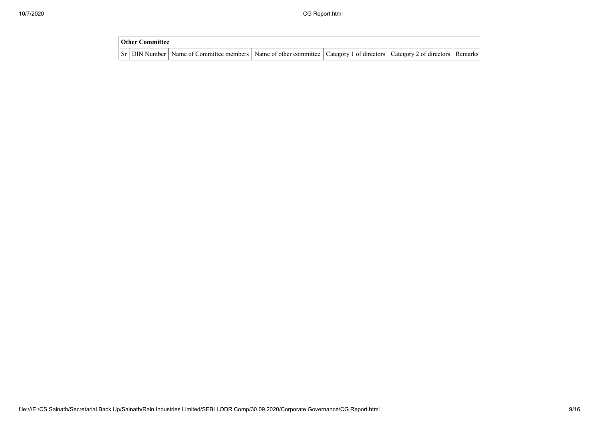| <b>Other Committee</b> |                                                                                                                                     |  |  |
|------------------------|-------------------------------------------------------------------------------------------------------------------------------------|--|--|
|                        | Sr   DIN Number   Name of Committee members   Name of other committee   Category 1 of directors   Category 2 of directors   Remarks |  |  |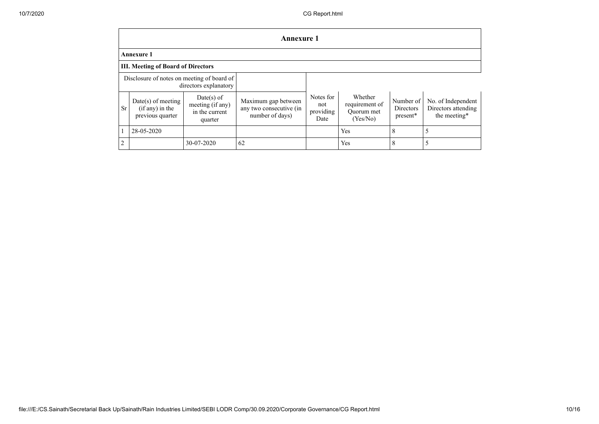|            | <b>Annexure 1</b>                                             |                                                               |                                                                   |                                       |                                                     |                                      |                                                           |  |  |  |  |
|------------|---------------------------------------------------------------|---------------------------------------------------------------|-------------------------------------------------------------------|---------------------------------------|-----------------------------------------------------|--------------------------------------|-----------------------------------------------------------|--|--|--|--|
|            | <b>Annexure 1</b>                                             |                                                               |                                                                   |                                       |                                                     |                                      |                                                           |  |  |  |  |
|            | <b>III. Meeting of Board of Directors</b>                     |                                                               |                                                                   |                                       |                                                     |                                      |                                                           |  |  |  |  |
|            | Disclosure of notes on meeting of board of                    | directors explanatory                                         |                                                                   |                                       |                                                     |                                      |                                                           |  |  |  |  |
| <b>Sr</b>  | $Date(s)$ of meeting<br>$(if any)$ in the<br>previous quarter | $Date(s)$ of<br>meeting (if any)<br>in the current<br>quarter | Maximum gap between<br>any two consecutive (in<br>number of days) | Notes for<br>not<br>providing<br>Date | Whether<br>requirement of<br>Quorum met<br>(Yes/No) | Number of<br>Directors<br>$present*$ | No. of Independent<br>Directors attending<br>the meeting* |  |  |  |  |
|            | 28-05-2020                                                    |                                                               |                                                                   |                                       | Yes                                                 | 8                                    |                                                           |  |  |  |  |
| $\sqrt{2}$ |                                                               | 30-07-2020                                                    | 62                                                                |                                       | Yes                                                 | 8                                    |                                                           |  |  |  |  |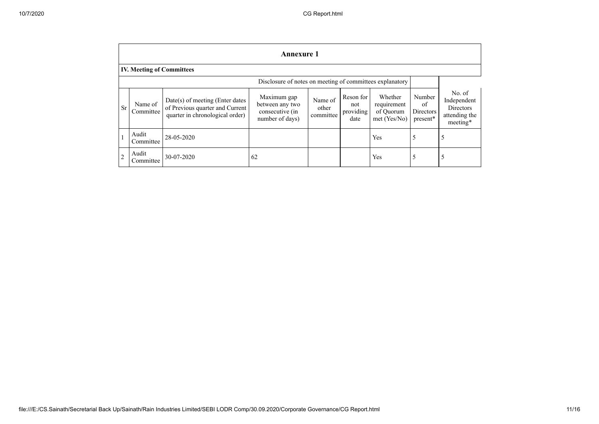|                | <b>Annexure 1</b>                                        |                                                                                                         |                                                                      |                               |                                       |                                                       |                                       |                                                                        |
|----------------|----------------------------------------------------------|---------------------------------------------------------------------------------------------------------|----------------------------------------------------------------------|-------------------------------|---------------------------------------|-------------------------------------------------------|---------------------------------------|------------------------------------------------------------------------|
|                | <b>IV. Meeting of Committees</b>                         |                                                                                                         |                                                                      |                               |                                       |                                                       |                                       |                                                                        |
|                | Disclosure of notes on meeting of committees explanatory |                                                                                                         |                                                                      |                               |                                       |                                                       |                                       |                                                                        |
| Sr             | Name of<br>Committee                                     | $Date(s)$ of meeting (Enter dates<br>of Previous quarter and Current<br>quarter in chronological order) | Maximum gap<br>between any two<br>consecutive (in<br>number of days) | Name of<br>other<br>committee | Reson for<br>not<br>providing<br>date | Whether<br>requirement<br>of Quorum<br>$met$ (Yes/No) | Number<br>of<br>Directors<br>present* | No. of<br>Independent<br><b>Directors</b><br>attending the<br>meeting* |
|                | Audit<br>Committee                                       | 28-05-2020                                                                                              |                                                                      |                               |                                       | Yes                                                   | 5                                     | 5                                                                      |
| $\overline{2}$ | Audit<br>Committee                                       | 30-07-2020                                                                                              | 62                                                                   |                               |                                       | Yes                                                   | 5                                     | 5                                                                      |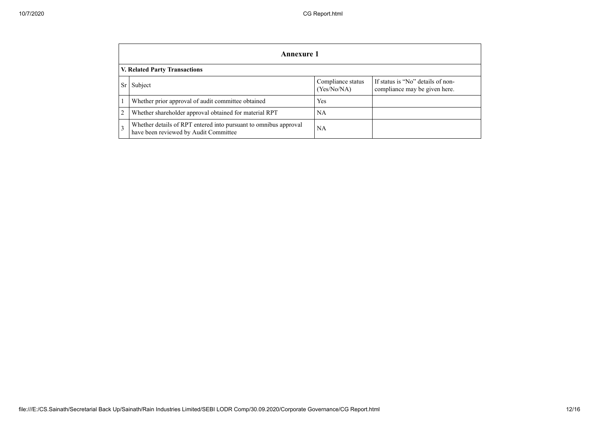|                               | Annexure 1                                                                                                |                                  |                                                                    |  |  |
|-------------------------------|-----------------------------------------------------------------------------------------------------------|----------------------------------|--------------------------------------------------------------------|--|--|
| V. Related Party Transactions |                                                                                                           |                                  |                                                                    |  |  |
|                               | Subject                                                                                                   | Compliance status<br>(Yes/No/NA) | If status is "No" details of non-<br>compliance may be given here. |  |  |
|                               | Whether prior approval of audit committee obtained                                                        | <b>Yes</b>                       |                                                                    |  |  |
|                               | Whether shareholder approval obtained for material RPT                                                    | NA                               |                                                                    |  |  |
|                               | Whether details of RPT entered into pursuant to omnibus approval<br>have been reviewed by Audit Committee | NA                               |                                                                    |  |  |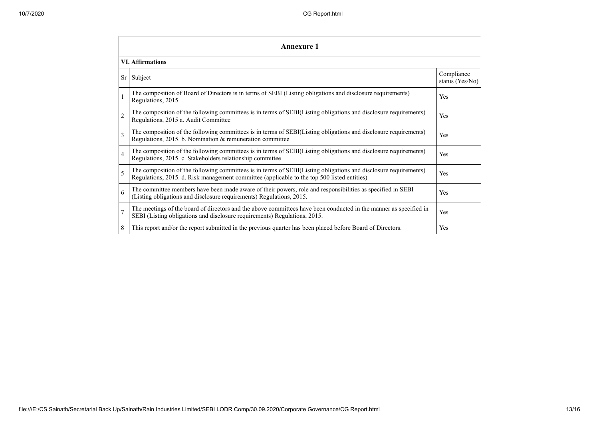| Annexure 1     |                                                                                                                                                                                                                 |                               |  |  |  |
|----------------|-----------------------------------------------------------------------------------------------------------------------------------------------------------------------------------------------------------------|-------------------------------|--|--|--|
|                | <b>VI.</b> Affirmations                                                                                                                                                                                         |                               |  |  |  |
| Sr             | Subject                                                                                                                                                                                                         | Compliance<br>status (Yes/No) |  |  |  |
|                | The composition of Board of Directors is in terms of SEBI (Listing obligations and disclosure requirements)<br>Regulations, 2015                                                                                | Yes                           |  |  |  |
| $\overline{2}$ | The composition of the following committees is in terms of SEBI(Listing obligations and disclosure requirements)<br>Regulations, 2015 a. Audit Committee                                                        | Yes                           |  |  |  |
| 3              | The composition of the following committees is in terms of SEBI(Listing obligations and disclosure requirements)<br>Regulations, 2015. b. Nomination & remuneration committee                                   | Yes                           |  |  |  |
| $\overline{4}$ | The composition of the following committees is in terms of SEBI(Listing obligations and disclosure requirements)<br>Regulations, 2015. c. Stakeholders relationship committee                                   | Yes                           |  |  |  |
| 5              | The composition of the following committees is in terms of SEBI(Listing obligations and disclosure requirements)<br>Regulations, 2015. d. Risk management committee (applicable to the top 500 listed entities) | Yes                           |  |  |  |
| 6              | The committee members have been made aware of their powers, role and responsibilities as specified in SEBI<br>(Listing obligations and disclosure requirements) Regulations, 2015.                              | Yes                           |  |  |  |
| $\overline{7}$ | The meetings of the board of directors and the above committees have been conducted in the manner as specified in<br>SEBI (Listing obligations and disclosure requirements) Regulations, 2015.                  | Yes                           |  |  |  |
| 8              | This report and/or the report submitted in the previous quarter has been placed before Board of Directors.                                                                                                      | Yes                           |  |  |  |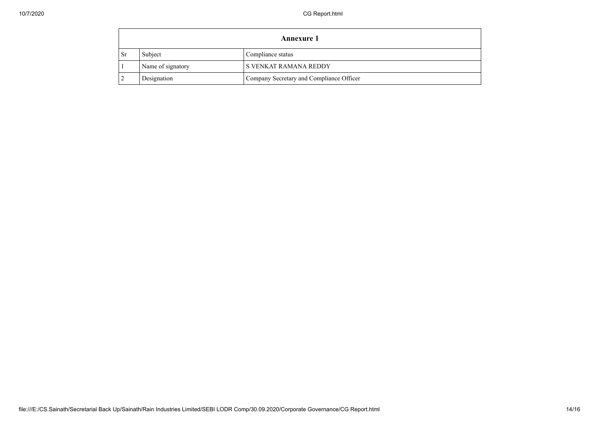| <b>Annexure 1</b> |                   |                                          |
|-------------------|-------------------|------------------------------------------|
| - Sr              | Subject           | Compliance status                        |
|                   | Name of signatory | S VENKAT RAMANA REDDY                    |
|                   | Designation       | Company Secretary and Compliance Officer |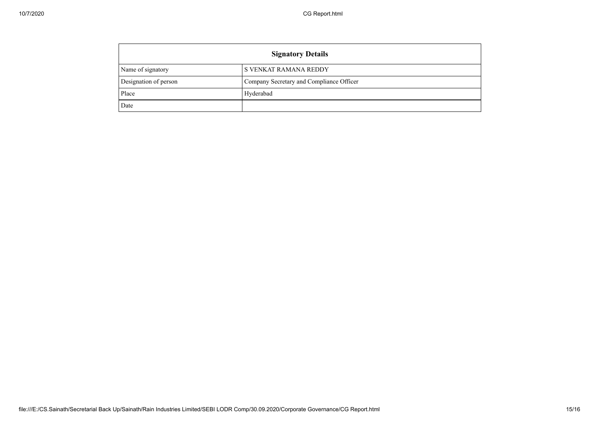| <b>Signatory Details</b> |                                          |  |
|--------------------------|------------------------------------------|--|
| Name of signatory        | <b>S VENKAT RAMANA REDDY</b>             |  |
| Designation of person    | Company Secretary and Compliance Officer |  |
| Place                    | Hyderabad                                |  |
| Date                     |                                          |  |